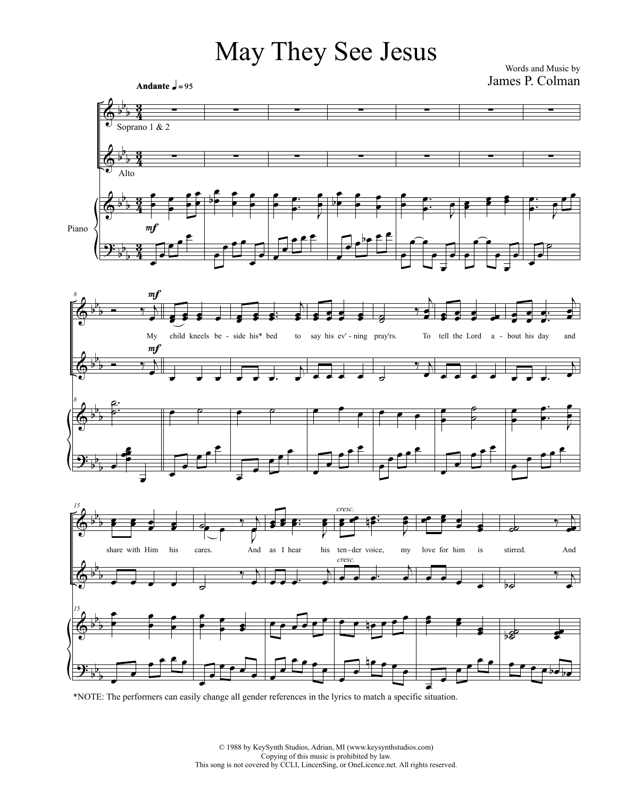## May They See Jesus

James P. Colman Words and Music by



œ \*NOTE: The performers can easily change all gender references in the lyrics to match a specific situation.